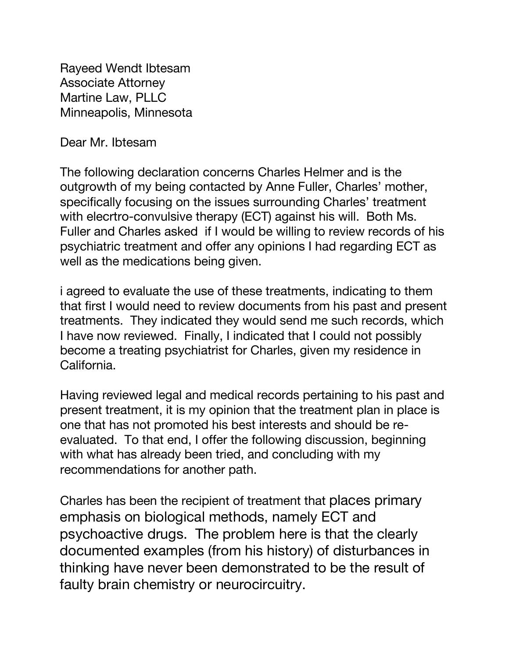Rayeed Wendt Ibtesam Associate Attorney Martine Law, PLLC Minneapolis, Minnesota

Dear Mr. Ibtesam

The following declaration concerns Charles Helmer and is the outgrowth of my being contacted by Anne Fuller, Charles' mother, specifically focusing on the issues surrounding Charles' treatment with elecrtro-convulsive therapy (ECT) against his will. Both Ms. Fuller and Charles asked if I would be willing to review records of his psychiatric treatment and offer any opinions I had regarding ECT as well as the medications being given.

i agreed to evaluate the use of these treatments, indicating to them that first I would need to review documents from his past and present treatments. They indicated they would send me such records, which I have now reviewed. Finally, I indicated that I could not possibly become a treating psychiatrist for Charles, given my residence in California.

Having reviewed legal and medical records pertaining to his past and present treatment, it is my opinion that the treatment plan in place is one that has not promoted his best interests and should be reevaluated. To that end, I offer the following discussion, beginning with what has already been tried, and concluding with my recommendations for another path.

Charles has been the recipient of treatment that places primary emphasis on biological methods, namely ECT and psychoactive drugs. The problem here is that the clearly documented examples (from his history) of disturbances in thinking have never been demonstrated to be the result of faulty brain chemistry or neurocircuitry.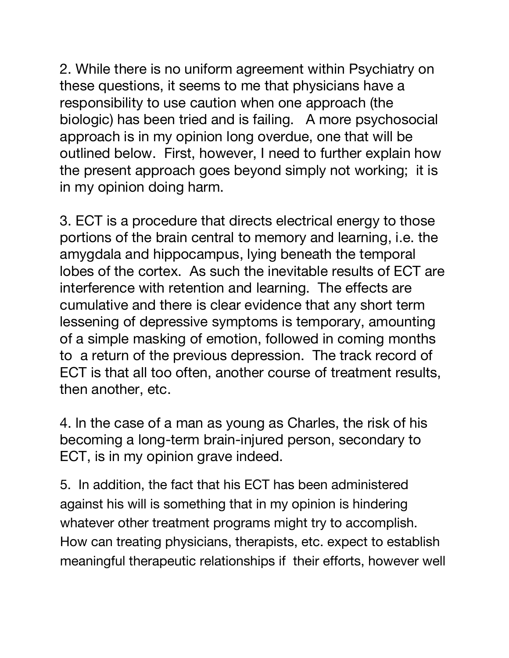2. While there is no uniform agreement within Psychiatry on these questions, it seems to me that physicians have a responsibility to use caution when one approach (the biologic) has been tried and is failing. A more psychosocial approach is in my opinion long overdue, one that will be outlined below. First, however, I need to further explain how the present approach goes beyond simply not working; it is in my opinion doing harm.

3. ECT is a procedure that directs electrical energy to those portions of the brain central to memory and learning, i.e. the amygdala and hippocampus, lying beneath the temporal lobes of the cortex. As such the inevitable results of ECT are interference with retention and learning. The effects are cumulative and there is clear evidence that any short term lessening of depressive symptoms is temporary, amounting of a simple masking of emotion, followed in coming months to a return of the previous depression. The track record of ECT is that all too often, another course of treatment results, then another, etc.

4. ln the case of a man as young as Charles, the risk of his becoming a long-term brain-injured person, secondary to ECT, is in my opinion grave indeed.

5. In addition, the fact that his ECT has been administered against his will is something that in my opinion is hindering whatever other treatment programs might try to accomplish. How can treating physicians, therapists, etc. expect to establish meaningful therapeutic relationships if their efforts, however well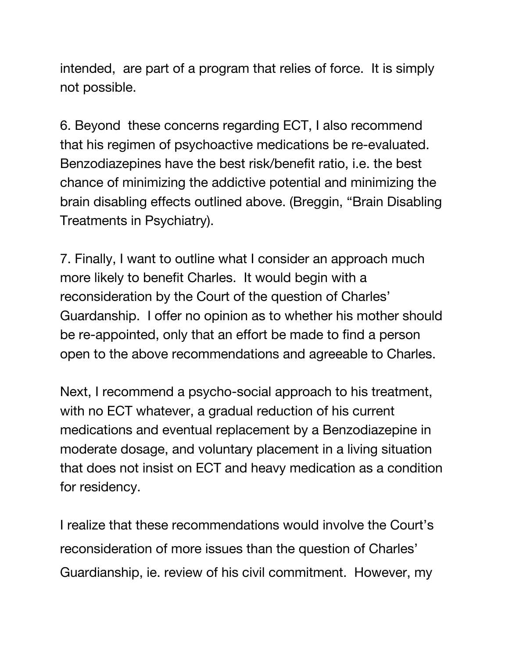intended, are part of a program that relies of force. It is simply not possible.

6. Beyond these concerns regarding ECT, I also recommend that his regimen of psychoactive medications be re-evaluated. Benzodiazepines have the best risk/benefit ratio, i.e. the best chance of minimizing the addictive potential and minimizing the brain disabling effects outlined above. (Breggin, "Brain Disabling Treatments in Psychiatry).

7. Finally, I want to outline what I consider an approach much more likely to benefit Charles. It would begin with a reconsideration by the Court of the question of Charles' Guardanship. I offer no opinion as to whether his mother should be re-appointed, only that an effort be made to find a person open to the above recommendations and agreeable to Charles.

Next, I recommend a psycho-social approach to his treatment, with no ECT whatever, a gradual reduction of his current medications and eventual replacement by a Benzodiazepine in moderate dosage, and voluntary placement in a living situation that does not insist on ECT and heavy medication as a condition for residency.

I realize that these recommendations would involve the Court's reconsideration of more issues than the question of Charles' Guardianship, ie. review of his civil commitment. However, my